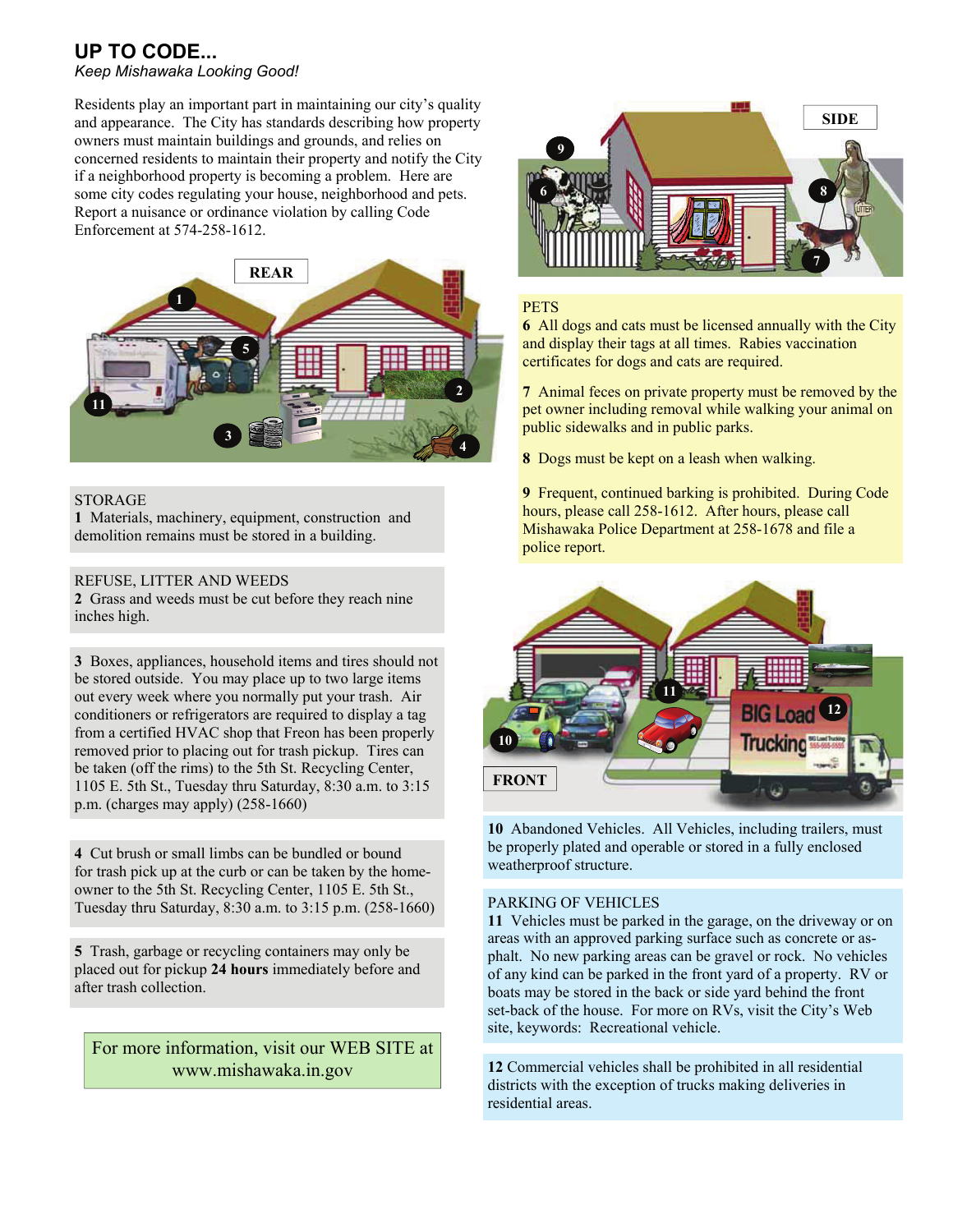## **UP TO CODE...**  *Keep Mishawaka Looking Good!*

Residents play an important part in maintaining our city's quality and appearance. The City has standards describing how property owners must maintain buildings and grounds, and relies on concerned residents to maintain their property and notify the City if a neighborhood property is becoming a problem. Here are some city codes regulating your house, neighborhood and pets. Report a nuisance or ordinance violation by calling Code Enforcement at 574-258-1612.



#### STORAGE

**1** Materials, machinery, equipment, construction and demolition remains must be stored in a building.

#### REFUSE, LITTER AND WEEDS

**2** Grass and weeds must be cut before they reach nine inches high.

**3** Boxes, appliances, household items and tires should not be stored outside. You may place up to two large items out every week where you normally put your trash. Air conditioners or refrigerators are required to display a tag from a certified HVAC shop that Freon has been properly removed prior to placing out for trash pickup. Tires can be taken (off the rims) to the 5th St. Recycling Center, 1105 E. 5th St., Tuesday thru Saturday, 8:30 a.m. to 3:15 p.m. (charges may apply) (258-1660)

**4** Cut brush or small limbs can be bundled or bound for trash pick up at the curb or can be taken by the homeowner to the 5th St. Recycling Center, 1105 E. 5th St., Tuesday thru Saturday, 8:30 a.m. to 3:15 p.m. (258-1660)

**5** Trash, garbage or recycling containers may only be placed out for pickup **24 hours** immediately before and after trash collection.

# For more information, visit our WEB SITE at www.mishawaka.in.gov



## **PETS**

**6** All dogs and cats must be licensed annually with the City and display their tags at all times. Rabies vaccination certificates for dogs and cats are required.

**7** Animal feces on private property must be removed by the pet owner including removal while walking your animal on public sidewalks and in public parks.

**8** Dogs must be kept on a leash when walking.

**9** Frequent, continued barking is prohibited. During Code hours, please call 258-1612. After hours, please call Mishawaka Police Department at 258-1678 and file a police report.



**10** Abandoned Vehicles. All Vehicles, including trailers, must be properly plated and operable or stored in a fully enclosed weatherproof structure.

## PARKING OF VEHICLES

**11** Vehicles must be parked in the garage, on the driveway or on areas with an approved parking surface such as concrete or asphalt. No new parking areas can be gravel or rock. No vehicles of any kind can be parked in the front yard of a property. RV or boats may be stored in the back or side yard behind the front set-back of the house. For more on RVs, visit the City's Web site, keywords: Recreational vehicle.

**12** Commercial vehicles shall be prohibited in all residential districts with the exception of trucks making deliveries in residential areas.